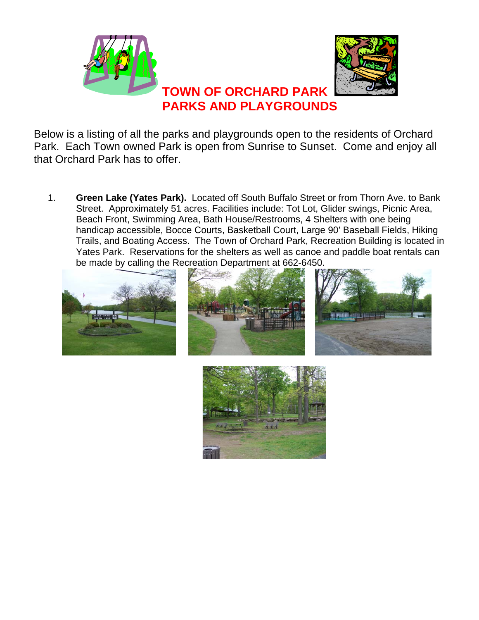

Below is a listing of all the parks and playgrounds open to the residents of Orchard Park. Each Town owned Park is open from Sunrise to Sunset. Come and enjoy all that Orchard Park has to offer.

1. **Green Lake (Yates Park).** Located off South Buffalo Street or from Thorn Ave. to Bank Street. Approximately 51 acres. Facilities include: Tot Lot, Glider swings, Picnic Area, Beach Front, Swimming Area, Bath House/Restrooms, 4 Shelters with one being handicap accessible, Bocce Courts, Basketball Court, Large 90' Baseball Fields, Hiking Trails, and Boating Access. The Town of Orchard Park, Recreation Building is located in Yates Park. Reservations for the shelters as well as canoe and paddle boat rentals can be made by calling the Recreation Department at 662-6450.







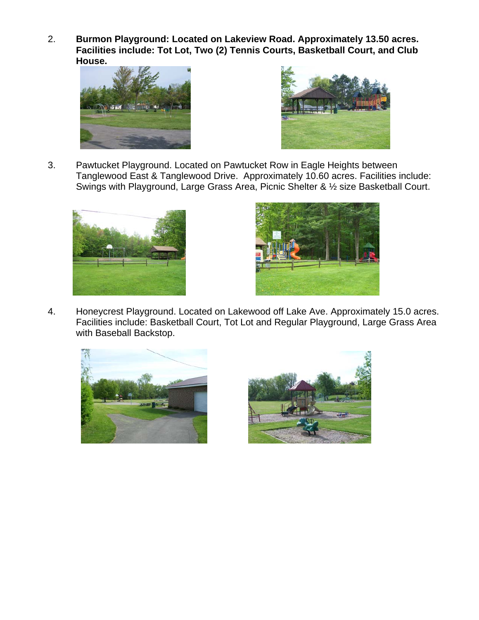2. **Burmon Playground: Located on Lakeview Road. Approximately 13.50 acres. Facilities include: Tot Lot, Two (2) Tennis Courts, Basketball Court, and Club House.**





3. Pawtucket Playground. Located on Pawtucket Row in Eagle Heights between Tanglewood East & Tanglewood Drive. Approximately 10.60 acres. Facilities include: Swings with Playground, Large Grass Area, Picnic Shelter & ½ size Basketball Court.





4. Honeycrest Playground. Located on Lakewood off Lake Ave. Approximately 15.0 acres. Facilities include: Basketball Court, Tot Lot and Regular Playground, Large Grass Area with Baseball Backstop.



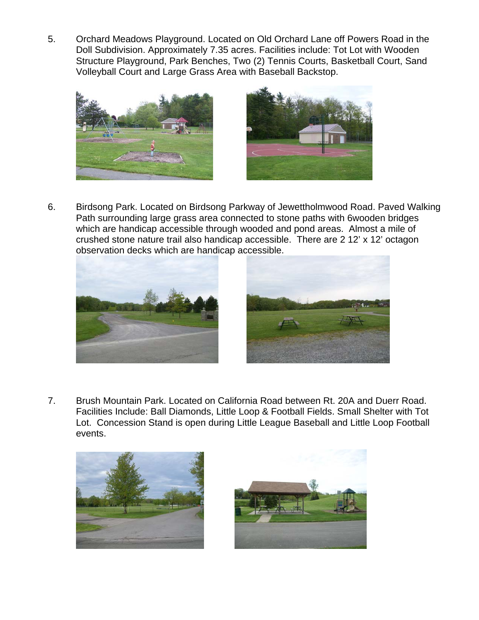5. Orchard Meadows Playground. Located on Old Orchard Lane off Powers Road in the Doll Subdivision. Approximately 7.35 acres. Facilities include: Tot Lot with Wooden Structure Playground, Park Benches, Two (2) Tennis Courts, Basketball Court, Sand Volleyball Court and Large Grass Area with Baseball Backstop.





6. Birdsong Park. Located on Birdsong Parkway of Jewettholmwood Road. Paved Walking Path surrounding large grass area connected to stone paths with 6wooden bridges which are handicap accessible through wooded and pond areas. Almost a mile of crushed stone nature trail also handicap accessible. There are 2 12' x 12' octagon observation decks which are handicap accessible.





7. Brush Mountain Park. Located on California Road between Rt. 20A and Duerr Road. Facilities Include: Ball Diamonds, Little Loop & Football Fields. Small Shelter with Tot Lot. Concession Stand is open during Little League Baseball and Little Loop Football events.



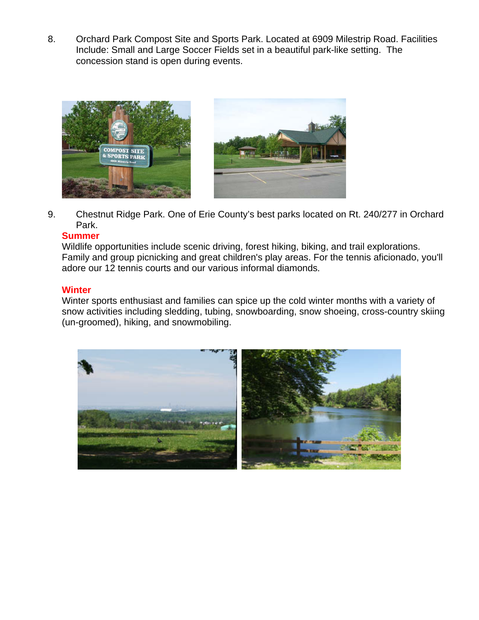8. Orchard Park Compost Site and Sports Park. Located at 6909 Milestrip Road. Facilities Include: Small and Large Soccer Fields set in a beautiful park-like setting. The concession stand is open during events.



9. Chestnut Ridge Park. One of Erie County's best parks located on Rt. 240/277 in Orchard Park.

## **Summer**

Wildlife opportunities include scenic driving, forest hiking, biking, and trail explorations. Family and group picnicking and great children's play areas. For the tennis aficionado, you'll adore our 12 tennis courts and our various informal diamonds.

## **Winter**

Winter sports enthusiast and families can spice up the cold winter months with a variety of snow activities including sledding, tubing, snowboarding, snow shoeing, cross-country skiing (un-groomed), hiking, and snowmobiling.